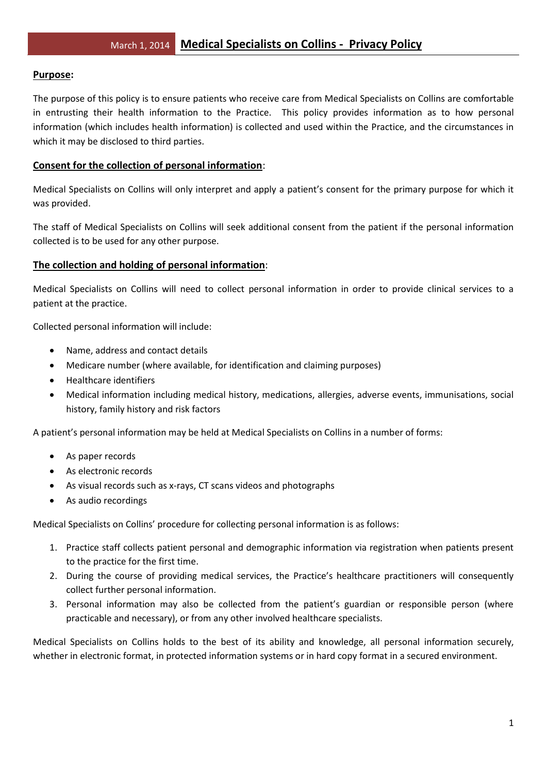## **Purpose:**

The purpose of this policy is to ensure patients who receive care from Medical Specialists on Collins are comfortable in entrusting their health information to the Practice. This policy provides information as to how personal information (which includes health information) is collected and used within the Practice, and the circumstances in which it may be disclosed to third parties.

## **Consent for the collection of personal information**:

Medical Specialists on Collins will only interpret and apply a patient's consent for the primary purpose for which it was provided.

The staff of Medical Specialists on Collins will seek additional consent from the patient if the personal information collected is to be used for any other purpose.

## **The collection and holding of personal information**:

Medical Specialists on Collins will need to collect personal information in order to provide clinical services to a patient at the practice.

Collected personal information will include:

- Name, address and contact details
- Medicare number (where available, for identification and claiming purposes)
- Healthcare identifiers
- Medical information including medical history, medications, allergies, adverse events, immunisations, social history, family history and risk factors

A patient's personal information may be held at Medical Specialists on Collins in a number of forms:

- As paper records
- As electronic records
- As visual records such as x-rays, CT scans videos and photographs
- As audio recordings

Medical Specialists on Collins' procedure for collecting personal information is as follows:

- 1. Practice staff collects patient personal and demographic information via registration when patients present to the practice for the first time.
- 2. During the course of providing medical services, the Practice's healthcare practitioners will consequently collect further personal information.
- 3. Personal information may also be collected from the patient's guardian or responsible person (where practicable and necessary), or from any other involved healthcare specialists.

Medical Specialists on Collins holds to the best of its ability and knowledge, all personal information securely, whether in electronic format, in protected information systems or in hard copy format in a secured environment.